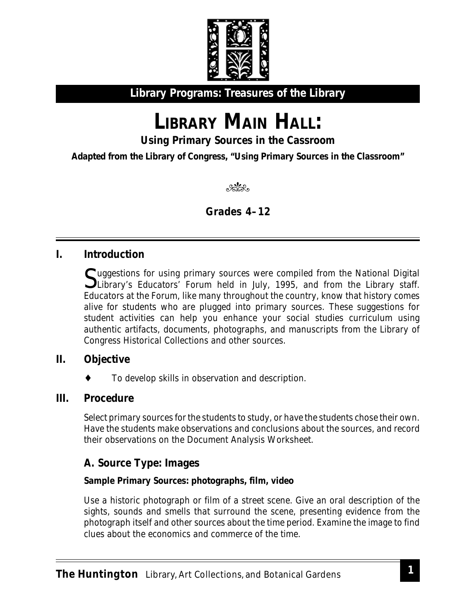

**Library Programs: Treasures of the Library**

# LIBRARY MAIN HALL:

**Using Primary Sources in the Cassroom**

**Adapted from the Library of Congress, "Using Primary Sources in the Classroom"**

en en de la composició de la composició de la composició de la composició de la composició de la composició e<br>La composició de la composició de la composició de la composició de la composició de la composició de la compo<br>L

**Grades 4–12**

# **I. Introduction**

 $\Gamma$ uggestions for using primary sources were compiled from the National Digital Library's Educators' Forum held in July, 1995, and from the Library staff. Educators at the Forum, like many throughout the country, know that history comes alive for students who are plugged into primary sources. These suggestions for student activities can help you enhance your social studies curriculum using authentic artifacts, documents, photographs, and manuscripts from the Library of Congress Historical Collections and other sources.

## **II. Objective**

To develop skills in observation and description.

## **III. Procedure**

Select primary sources for the students to study, or have the students chose their own. Have the students make observations and conclusions about the sources, and record their observations on the Document Analysis Worksheet.

# **A. Source Type: Images**

#### **Sample Primary Sources: photographs, film, video**

Use a historic photograph or film of a street scene. Give an oral description of the sights, sounds and smells that surround the scene, presenting evidence from the photograph itself and other sources about the time period. Examine the image to find clues about the economics and commerce of the time.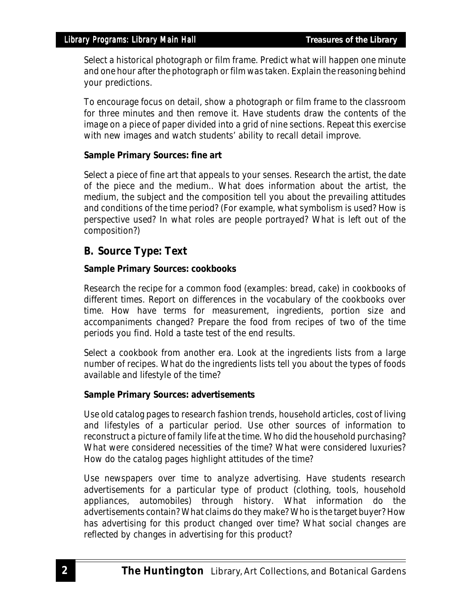Select a historical photograph or film frame. Predict what will happen one minute and one hour after the photograph or film was taken. Explain the reasoning behind your predictions.

To encourage focus on detail, show a photograph or film frame to the classroom for three minutes and then remove it. Have students draw the contents of the image on a piece of paper divided into a grid of nine sections. Repeat this exercise with new images and watch students' ability to recall detail improve.

#### **Sample Primary Sources: fine art**

Select a piece of fine art that appeals to your senses. Research the artist, the date of the piece and the medium.. What does information about the artist, the medium, the subject and the composition tell you about the prevailing attitudes and conditions of the time period? (For example, what symbolism is used? How is perspective used? In what roles are people portrayed? What is left out of the composition?)

## **B. Source Type: Text**

#### **Sample Primary Sources: cookbooks**

Research the recipe for a common food (examples: bread, cake) in cookbooks of different times. Report on differences in the vocabulary of the cookbooks over time. How have terms for measurement, ingredients, portion size and accompaniments changed? Prepare the food from recipes of two of the time periods you find. Hold a taste test of the end results.

Select a cookbook from another era. Look at the ingredients lists from a large number of recipes. What do the ingredients lists tell you about the types of foods available and lifestyle of the time?

#### **Sample Primary Sources: advertisements**

Use old catalog pages to research fashion trends, household articles, cost of living and lifestyles of a particular period. Use other sources of information to reconstruct a picture of family life at the time. Who did the household purchasing? What were considered necessities of the time? What were considered luxuries? How do the catalog pages highlight attitudes of the time?

Use newspapers over time to analyze advertising. Have students research advertisements for a particular type of product (clothing, tools, household appliances, automobiles) through history. What information do the advertisements contain? What claims do they make? Who is the target buyer? How has advertising for this product changed over time? What social changes are reflected by changes in advertising for this product?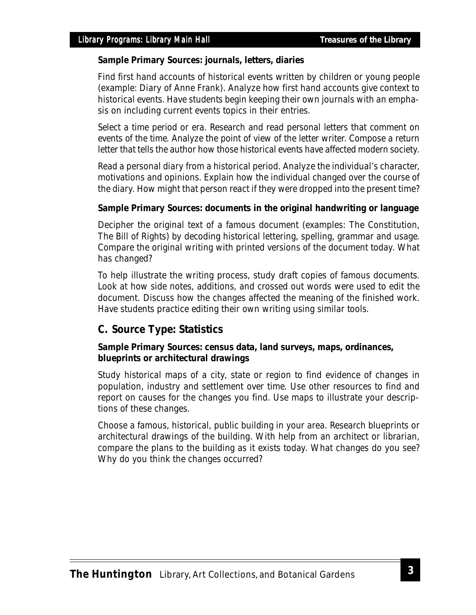#### **Sample Primary Sources: journals, letters, diaries**

Find first hand accounts of historical events written by children or young people (example: Diary of Anne Frank). Analyze how first hand accounts give context to historical events. Have students begin keeping their own journals with an emphasis on including current events topics in their entries.

Select a time period or era. Research and read personal letters that comment on events of the time. Analyze the point of view of the letter writer. Compose a return letter that tells the author how those historical events have affected modern society.

Read a personal diary from a historical period. Analyze the individual's character, motivations and opinions. Explain how the individual changed over the course of the diary. How might that person react if they were dropped into the present time?

#### **Sample Primary Sources: documents in the original handwriting or language**

Decipher the original text of a famous document (examples: The Constitution, The Bill of Rights) by decoding historical lettering, spelling, grammar and usage. Compare the original writing with printed versions of the document today. What has changed?

To help illustrate the writing process, study draft copies of famous documents. Look at how side notes, additions, and crossed out words were used to edit the document. Discuss how the changes affected the meaning of the finished work. Have students practice editing their own writing using similar tools.

## **C. Source Type: Statistics**

#### **Sample Primary Sources: census data, land surveys, maps, ordinances, blueprints or architectural drawings**

Study historical maps of a city, state or region to find evidence of changes in population, industry and settlement over time. Use other resources to find and report on causes for the changes you find. Use maps to illustrate your descriptions of these changes.

Choose a famous, historical, public building in your area. Research blueprints or architectural drawings of the building. With help from an architect or librarian, compare the plans to the building as it exists today. What changes do you see? Why do you think the changes occurred?